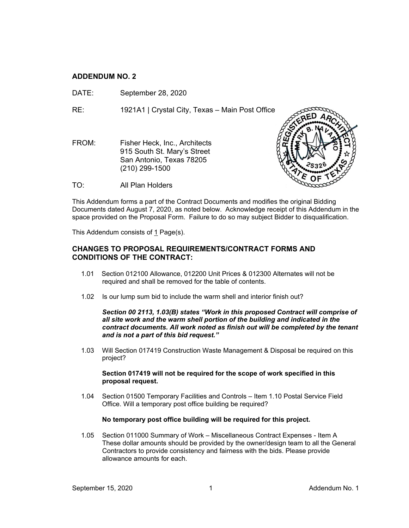# **ADDENDUM NO. 2**

DATE: September 28, 2020

RE: 1921A1 | Crystal City, Texas – Main Post Office

FROM: Fisher Heck, Inc., Architects 915 South St. Mary's Street San Antonio, Texas 78205 (210) 299-1500



TO: All Plan Holders

This Addendum forms a part of the Contract Documents and modifies the original Bidding Documents dated August 7, 2020, as noted below. Acknowledge receipt of this Addendum in the space provided on the Proposal Form. Failure to do so may subject Bidder to disqualification.

This Addendum consists of 1 Page(s).

# **CHANGES TO PROPOSAL REQUIREMENTS/CONTRACT FORMS AND CONDITIONS OF THE CONTRACT:**

- 1.01 Section 012100 Allowance, 012200 Unit Prices & 012300 Alternates will not be required and shall be removed for the table of contents.
- 1.02 Is our lump sum bid to include the warm shell and interior finish out?

*Section 00 2113, 1.03(B) states "Work in this proposed Contract will comprise of all site work and the warm shell portion of the building and indicated in the contract documents. All work noted as finish out will be completed by the tenant and is not a part of this bid request."*

1.03 Will Section 017419 Construction Waste Management & Disposal be required on this project?

## **Section 017419 will not be required for the scope of work specified in this proposal request.**

1.04 Section 01500 Temporary Facilities and Controls – Item 1.10 Postal Service Field Office. Will a temporary post office building be required?

## **No temporary post office building will be required for this project.**

1.05 Section 011000 Summary of Work – Miscellaneous Contract Expenses - Item A These dollar amounts should be provided by the owner/design team to all the General Contractors to provide consistency and fairness with the bids. Please provide allowance amounts for each.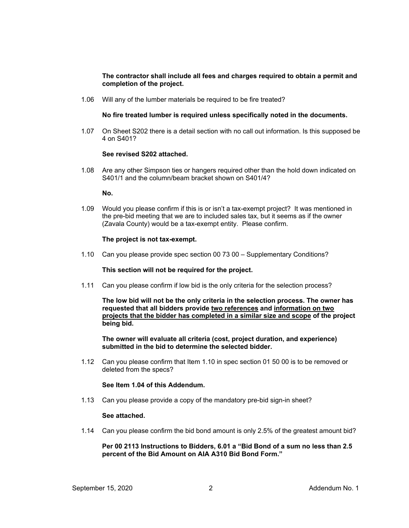## **The contractor shall include all fees and charges required to obtain a permit and completion of the project.**

1.06 Will any of the lumber materials be required to be fire treated?

## **No fire treated lumber is required unless specifically noted in the documents.**

1.07 On Sheet S202 there is a detail section with no call out information. Is this supposed be 4 on S401?

## **See revised S202 attached.**

1.08 Are any other Simpson ties or hangers required other than the hold down indicated on S401/1 and the column/beam bracket shown on S401/4?

#### **No.**

1.09 Would you please confirm if this is or isn't a tax-exempt project? It was mentioned in the pre-bid meeting that we are to included sales tax, but it seems as if the owner (Zavala County) would be a tax-exempt entity. Please confirm.

## **The project is not tax-exempt.**

1.10 Can you please provide spec section 00 73 00 – Supplementary Conditions?

## **This section will not be required for the project.**

1.11 Can you please confirm if low bid is the only criteria for the selection process?

**The low bid will not be the only criteria in the selection process. The owner has requested that all bidders provide two references and information on two projects that the bidder has completed in a similar size and scope of the project being bid.**

**The owner will evaluate all criteria (cost, project duration, and experience) submitted in the bid to determine the selected bidder.**

1.12 Can you please confirm that Item 1.10 in spec section 01 50 00 is to be removed or deleted from the specs?

## **See Item 1.04 of this Addendum.**

1.13 Can you please provide a copy of the mandatory pre-bid sign-in sheet?

## **See attached.**

1.14 Can you please confirm the bid bond amount is only 2.5% of the greatest amount bid?

## **Per 00 2113 Instructions to Bidders, 6.01 a "Bid Bond of a sum no less than 2.5 percent of the Bid Amount on AIA A310 Bid Bond Form."**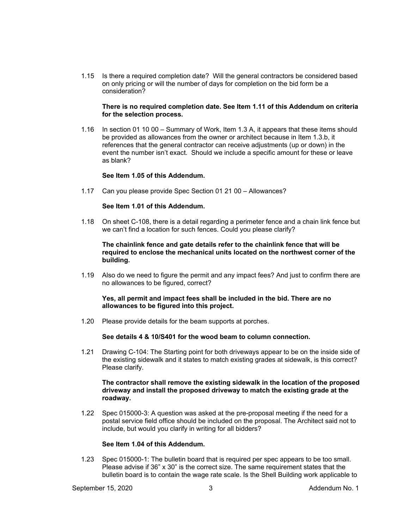1.15 Is there a required completion date? Will the general contractors be considered based on only pricing or will the number of days for completion on the bid form be a consideration?

#### **There is no required completion date. See Item 1.11 of this Addendum on criteria for the selection process.**

1.16 In section 01 10 00 – Summary of Work, Item 1.3 A, it appears that these items should be provided as allowances from the owner or architect because in Item 1.3.b, it references that the general contractor can receive adjustments (up or down) in the event the number isn't exact. Should we include a specific amount for these or leave as blank?

## **See Item 1.05 of this Addendum.**

1.17 Can you please provide Spec Section 01 21 00 – Allowances?

#### **See Item 1.01 of this Addendum.**

1.18 On sheet C-108, there is a detail regarding a perimeter fence and a chain link fence but we can't find a location for such fences. Could you please clarify?

#### **The chainlink fence and gate details refer to the chainlink fence that will be required to enclose the mechanical units located on the northwest corner of the building.**

1.19 Also do we need to figure the permit and any impact fees? And just to confirm there are no allowances to be figured, correct?

## **Yes, all permit and impact fees shall be included in the bid. There are no allowances to be figured into this project.**

1.20 Please provide details for the beam supports at porches.

## **See details 4 & 10/S401 for the wood beam to column connection.**

1.21 Drawing C-104: The Starting point for both driveways appear to be on the inside side of the existing sidewalk and it states to match existing grades at sidewalk, is this correct? Please clarify.

### **The contractor shall remove the existing sidewalk in the location of the proposed driveway and install the proposed driveway to match the existing grade at the roadway.**

1.22 Spec 015000-3: A question was asked at the pre-proposal meeting if the need for a postal service field office should be included on the proposal. The Architect said not to include, but would you clarify in writing for all bidders?

#### **See Item 1.04 of this Addendum.**

1.23 Spec 015000-1: The bulletin board that is required per spec appears to be too small. Please advise if 36" x 30" is the correct size. The same requirement states that the bulletin board is to contain the wage rate scale. Is the Shell Building work applicable to